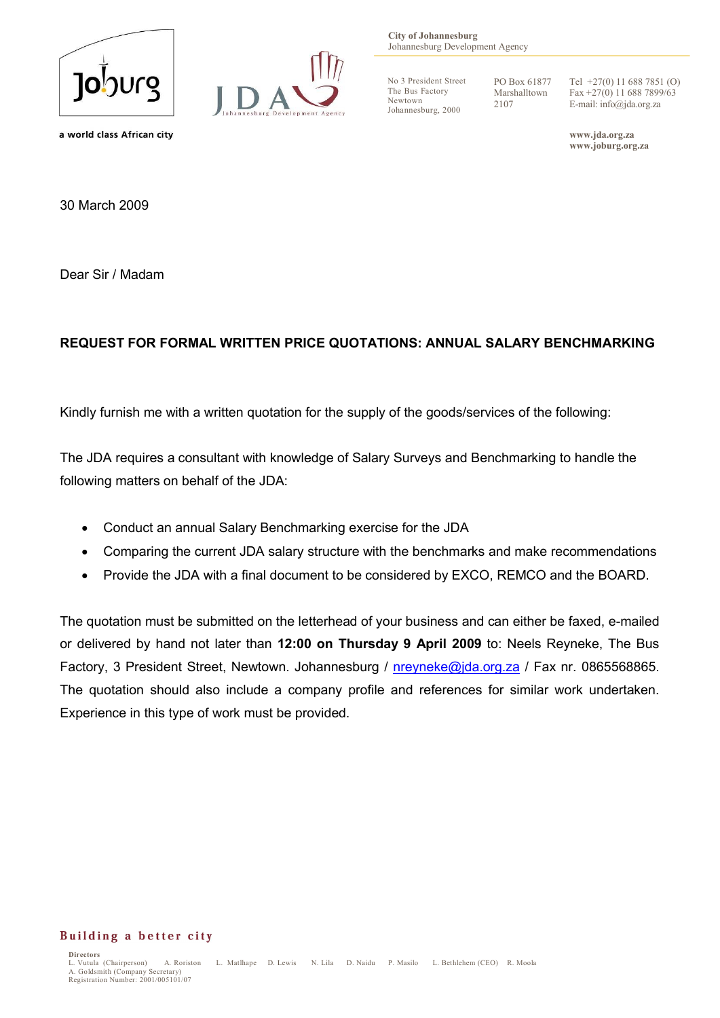



**City of Johannesburg** Johannesburg Development Agency

No 3 President Street The Bus Factory Newtown Johannesburg, 2000

PO Box 61877 Marshalltown 2107

Tel +27(0) 11 688 7851 (O) Fax +27(0) 11 688 7899/63 E-mail: info@jda.org.za

**www.jda.org.za www.joburg.org.za**

a world class African city

30 March 2009

Dear Sir / Madam

## **REQUEST FOR FORMAL WRITTEN PRICE QUOTATIONS: ANNUAL SALARY BENCHMARKING**

Kindly furnish me with a written quotation for the supply of the goods/services of the following:

The JDA requires a consultant with knowledge of Salary Surveys and Benchmarking to handle the following matters on behalf of the JDA:

- Conduct an annual Salary Benchmarking exercise for the JDA
- Comparing the current JDA salary structure with the benchmarks and make recommendations
- Provide the JDA with a final document to be considered by EXCO, REMCO and the BOARD.

The quotation must be submitted on the letterhead of your business and can either be faxed, e-mailed or delivered by hand not later than **12:00 on Thursday 9 April 2009** to: Neels Reyneke, The Bus Factory, 3 President Street, Newtown. Johannesburg / nreyneke@jda.org.za / Fax nr. 0865568865. The quotation should also include a company profile and references for similar work undertaken. Experience in this type of work must be provided.

## Building a better city